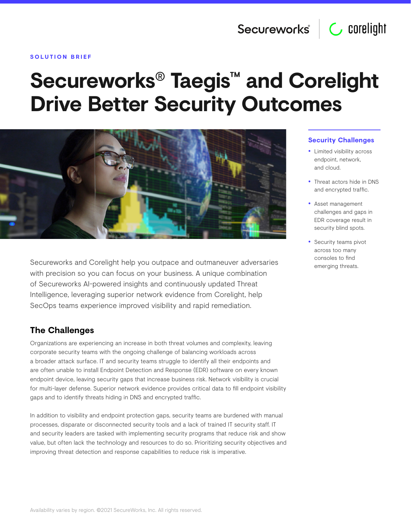#### **SOLUTION BRIEF**

# **Secureworks® Taegis™ and Corelight Drive Better Security Outcomes**



Secureworks and Corelight help you outpace and outmaneuver adversaries with precision so you can focus on your business. A unique combination of Secureworks AI-powered insights and continuously updated Threat Intelligence, leveraging superior network evidence from Corelight, help SecOps teams experience improved visibility and rapid remediation.

# **The Challenges**

Organizations are experiencing an increase in both threat volumes and complexity, leaving corporate security teams with the ongoing challenge of balancing workloads across a broader attack surface. IT and security teams struggle to identify all their endpoints and are often unable to install Endpoint Detection and Response (EDR) software on every known endpoint device, leaving security gaps that increase business risk. Network visibility is crucial for multi-layer defense. Superior network evidence provides critical data to fill endpoint visibility gaps and to identify threats hiding in DNS and encrypted traffic.

In addition to visibility and endpoint protection gaps, security teams are burdened with manual processes, disparate or disconnected security tools and a lack of trained IT security staff. IT and security leaders are tasked with implementing security programs that reduce risk and show value, but often lack the technology and resources to do so. Prioritizing security objectives and improving threat detection and response capabilities to reduce risk is imperative.

#### **Security Challenges**

- Limited visibility across endpoint, network, and cloud.
- Threat actors hide in DNS and encrypted traffic.
- Asset management challenges and gaps in EDR coverage result in security blind spots.
- Security teams pivot across too many consoles to find emerging threats.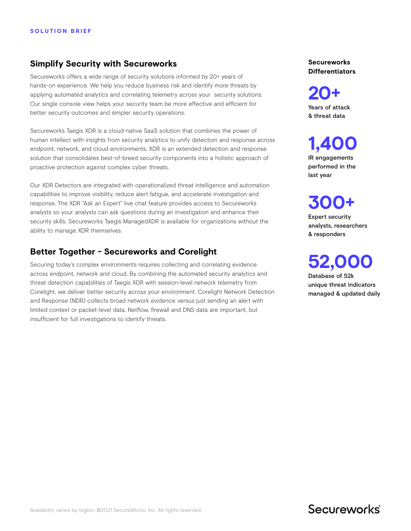## **Simplify Security with Secureworks**

Secureworks offers a wide range of security solutions informed by 20+ years of hands-on experience. We help you reduce business risk and identify more threats by applying automated analytics and correlating telemetry across your security solutions. Our single console view helps your security team be more effective and efficient for better security outcomes and simpler security operations.

Secureworks Taegis XDR is a cloud-native SaaS solution that combines the power of human intellect with insights from security analytics to unify detection and response across endpoint, network, and cloud environments. XDR is an extended detection and response solution that consolidates best-of-breed security components into a holistic approach of proactive protection against complex cyber threats.

Our XDR Detectors are integrated with operationalized threat intelligence and automation capabilities to improve visibility, reduce alert fatigue, and accelerate investigation and response. The XDR "Ask an Expert" live chat feature provides access to Secureworks analysts so your analysts can ask questions during an investigation and enhance their security skills. Secureworks Taegis ManagedXDR is available for organizations without the ability to manage XDR themselves.

# **Better Together - Secureworks and Corelight**

Securing today's complex environments requires collecting and correlating evidence across endpoint, network and cloud. By combining the automated security analytics and threat detection capabilities of Taegis XDR with session-level network telemetry from Corelight, we deliver better security across your environment. Corelight Network Detection and Response (NDR) collects broad network evidence versus just sending an alert with limited context or packet-level data. Netflow, firewall and DNS data are important, but insufficient for full investigations to identify threats.

**Secureworks Differentiators**

**20+** Years of attack & threat data

**1,400** IR engagements performed in the last year

**300+** Expert security analysts, researchers & responders

**52,000**

Database of 52k unique threat indicators managed & updated daily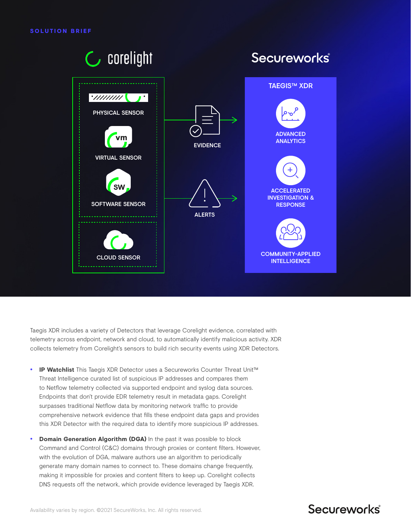

Taegis XDR includes a variety of Detectors that leverage Corelight evidence, correlated with telemetry across endpoint, network and cloud, to automatically identify malicious activity. XDR collects telemetry from Corelight's sensors to build rich security events using XDR Detectors.

- **IP Watchlist** This Taegis XDR Detector uses a Secureworks Counter Threat Unit™ Threat Intelligence curated list of suspicious IP addresses and compares them to Netflow telemetry collected via supported endpoint and syslog data sources. Endpoints that don't provide EDR telemetry result in metadata gaps. Corelight surpasses traditional Netflow data by monitoring network traffic to provide comprehensive network evidence that fills these endpoint data gaps and provides this XDR Detector with the required data to identify more suspicious IP addresses.
- **Domain Generation Algorithm (DGA)** In the past it was possible to block Command and Control (C&C) domains through proxies or content filters. However, with the evolution of DGA, malware authors use an algorithm to periodically generate many domain names to connect to. These domains change frequently, making it impossible for proxies and content filters to keep up. Corelight collects DNS requests off the network, which provide evidence leveraged by Taegis XDR.

# Secureworks